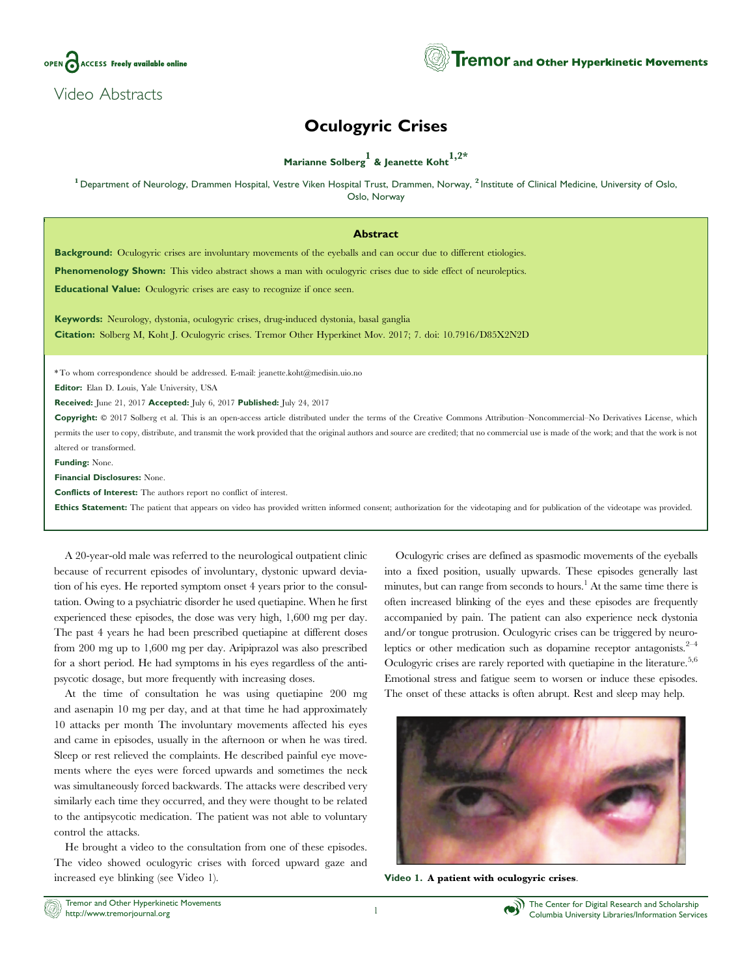

Video Abstracts

## Oculogyric Crises

## Marianne Solberg<sup>1</sup> & Jeanette Koht<sup>1,2\*</sup>

<sup>1</sup> Department of Neurology, Drammen Hospital, Vestre Viken Hospital Trust, Drammen, Norway, <sup>2</sup> Institute of Clinical Medicine, University of Oslo, Oslo, Norway

## Abstract

Background: Oculogyric crises are involuntary movements of the eyeballs and can occur due to different etiologies.

Phenomenology Shown: This video abstract shows a man with oculogyric crises due to side effect of neuroleptics.

Educational Value: Oculogyric crises are easy to recognize if once seen.

Keywords: Neurology, dystonia, oculogyric crises, drug-induced dystonia, basal ganglia Citation: Solberg M, Koht J. Oculogyric crises. Tremor Other Hyperkinet Mov. 2017; 7. doi: [10.7916/D85X2N2D](http://dx.doi.org/10.7916/D85X2N2D)

\* To whom correspondence should be addressed. E-mail[: jeanette.koht@medisin.uio.no](mailto:jeanette.koht@medisin.uio.no)

Editor: Elan D. Louis, Yale University, USA

Received: June 21, 2017 Accepted: July 6, 2017 Published: July 24, 2017

Copyright:  $\circ$  2017 Solberg et al. This is an open-access article distributed under the terms of the [Creative Commons Attribution–Noncommercial–No Derivatives License](https://creativecommons.org/licenses/by-nc-nd/4.0/), which permits the user to copy, distribute, and transmit the work provided that the original authors and source are credited; that no commercial use is made of the work; and that the work is not altered or transformed.

Funding: None.

Financial Disclosures: None.

Conflicts of Interest: The authors report no conflict of interest.

Ethics Statement: The patient that appears on video has provided written informed consent; authorization for the videotaping and for publication of the videotape was provided.

A 20-year-old male was referred to the neurological outpatient clinic because of recurrent episodes of involuntary, dystonic upward deviation of his eyes. He reported symptom onset 4 years prior to the consultation. Owing to a psychiatric disorder he used quetiapine. When he first experienced these episodes, the dose was very high, 1,600 mg per day. The past 4 years he had been prescribed quetiapine at different doses from 200 mg up to 1,600 mg per day. Aripiprazol was also prescribed for a short period. He had symptoms in his eyes regardless of the antipsycotic dosage, but more frequently with increasing doses.

At the time of consultation he was using quetiapine 200 mg and asenapin 10 mg per day, and at that time he had approximately 10 attacks per month The involuntary movements affected his eyes and came in episodes, usually in the afternoon or when he was tired. Sleep or rest relieved the complaints. He described painful eye movements where the eyes were forced upwards and sometimes the neck was simultaneously forced backwards. The attacks were described very similarly each time they occurred, and they were thought to be related to the antipsycotic medication. The patient was not able to voluntary control the attacks.

He brought a video to the consultation from one of these episodes. The video showed oculogyric crises with forced upward gaze and increased eye blinking (see Video 1).

Oculogyric crises are defined as spasmodic movements of the eyeballs into a fixed position, usually upwards. These episodes generally last minutes, but can range from seconds to hours.<sup>1</sup> At the same time there is often increased blinking of the eyes and these episodes are frequently accompanied by pain. The patient can also experience neck dystonia and/or tongue protrusion. Oculogyric crises can be triggered by neuroleptics or other medication such as dopamine receptor antagonists. $2^{-4}$ Oculogyric crises are rarely reported with quetiapine in the literature.<sup>5,6</sup> Emotional stress and fatigue seem to worsen or induce these episodes. The onset of these attacks is often abrupt. Rest and sleep may help.



Video 1. A patient with oculogyric crises.